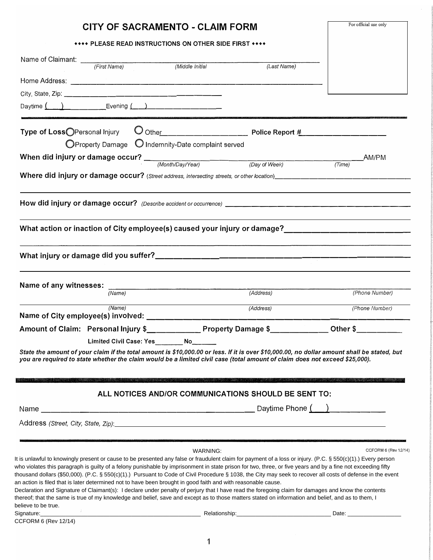|                                                                                                                                                                                                                                                                                                                                                                                                                                                                                                                                                                                                                                                                                                                                                                                                                                                                                                                           | CITY OF SACRAMENTO - CLAIM FORM                                       |                                                                                                                                                                               | For official use only |
|---------------------------------------------------------------------------------------------------------------------------------------------------------------------------------------------------------------------------------------------------------------------------------------------------------------------------------------------------------------------------------------------------------------------------------------------------------------------------------------------------------------------------------------------------------------------------------------------------------------------------------------------------------------------------------------------------------------------------------------------------------------------------------------------------------------------------------------------------------------------------------------------------------------------------|-----------------------------------------------------------------------|-------------------------------------------------------------------------------------------------------------------------------------------------------------------------------|-----------------------|
|                                                                                                                                                                                                                                                                                                                                                                                                                                                                                                                                                                                                                                                                                                                                                                                                                                                                                                                           | <b>**** PLEASE READ INSTRUCTIONS ON OTHER SIDE FIRST ****</b>         |                                                                                                                                                                               |                       |
| Name of Claimant: (First Name) (Middle Initial                                                                                                                                                                                                                                                                                                                                                                                                                                                                                                                                                                                                                                                                                                                                                                                                                                                                            |                                                                       |                                                                                                                                                                               |                       |
|                                                                                                                                                                                                                                                                                                                                                                                                                                                                                                                                                                                                                                                                                                                                                                                                                                                                                                                           |                                                                       | (Last Name)                                                                                                                                                                   |                       |
|                                                                                                                                                                                                                                                                                                                                                                                                                                                                                                                                                                                                                                                                                                                                                                                                                                                                                                                           |                                                                       |                                                                                                                                                                               |                       |
|                                                                                                                                                                                                                                                                                                                                                                                                                                                                                                                                                                                                                                                                                                                                                                                                                                                                                                                           |                                                                       |                                                                                                                                                                               |                       |
| Daytime $\underbrace{(+)}\underline{ }$ Evening $\underbrace{(+)}\underline{ }\underline{ }$                                                                                                                                                                                                                                                                                                                                                                                                                                                                                                                                                                                                                                                                                                                                                                                                                              |                                                                       |                                                                                                                                                                               |                       |
| Type of LossOPersonal Injury                                                                                                                                                                                                                                                                                                                                                                                                                                                                                                                                                                                                                                                                                                                                                                                                                                                                                              |                                                                       |                                                                                                                                                                               |                       |
|                                                                                                                                                                                                                                                                                                                                                                                                                                                                                                                                                                                                                                                                                                                                                                                                                                                                                                                           | $\bigcirc$ Property Damage $\bigcirc$ Indemnity-Date complaint served |                                                                                                                                                                               |                       |
| When did injury or damage occur? $\frac{M_{\text{nonth}/\text{Day}/\text{Year}}}{M_{\text{onth}/\text{Day}/\text{Year}}}$ (Day of Week)                                                                                                                                                                                                                                                                                                                                                                                                                                                                                                                                                                                                                                                                                                                                                                                   |                                                                       |                                                                                                                                                                               | AM/PM                 |
|                                                                                                                                                                                                                                                                                                                                                                                                                                                                                                                                                                                                                                                                                                                                                                                                                                                                                                                           |                                                                       |                                                                                                                                                                               | (Time)                |
| Where did injury or damage occur? (Street address, intersecting streets, or other location)<br>Where did injury or damage occur? (Street address, intersecting streets, or other location)                                                                                                                                                                                                                                                                                                                                                                                                                                                                                                                                                                                                                                                                                                                                |                                                                       |                                                                                                                                                                               |                       |
|                                                                                                                                                                                                                                                                                                                                                                                                                                                                                                                                                                                                                                                                                                                                                                                                                                                                                                                           |                                                                       |                                                                                                                                                                               |                       |
| What action or inaction of City employee(s) caused your injury or damage?________                                                                                                                                                                                                                                                                                                                                                                                                                                                                                                                                                                                                                                                                                                                                                                                                                                         |                                                                       |                                                                                                                                                                               |                       |
|                                                                                                                                                                                                                                                                                                                                                                                                                                                                                                                                                                                                                                                                                                                                                                                                                                                                                                                           |                                                                       |                                                                                                                                                                               |                       |
|                                                                                                                                                                                                                                                                                                                                                                                                                                                                                                                                                                                                                                                                                                                                                                                                                                                                                                                           |                                                                       |                                                                                                                                                                               |                       |
| Name of any witnesses:<br>(Name)                                                                                                                                                                                                                                                                                                                                                                                                                                                                                                                                                                                                                                                                                                                                                                                                                                                                                          |                                                                       | (Address)                                                                                                                                                                     | (Phone Number)        |
|                                                                                                                                                                                                                                                                                                                                                                                                                                                                                                                                                                                                                                                                                                                                                                                                                                                                                                                           |                                                                       |                                                                                                                                                                               |                       |
| (Name)                                                                                                                                                                                                                                                                                                                                                                                                                                                                                                                                                                                                                                                                                                                                                                                                                                                                                                                    |                                                                       | (Address)                                                                                                                                                                     | (Phone Number)        |
| Amount of Claim: Personal Injury \$______________Property Damage \$_____________Other \$________                                                                                                                                                                                                                                                                                                                                                                                                                                                                                                                                                                                                                                                                                                                                                                                                                          |                                                                       |                                                                                                                                                                               |                       |
|                                                                                                                                                                                                                                                                                                                                                                                                                                                                                                                                                                                                                                                                                                                                                                                                                                                                                                                           | Limited Civil Case: Yes _________ No______                            |                                                                                                                                                                               |                       |
| State the amount of your claim if the total amount is \$10,000.00 or less. If it is over \$10,000.00, no dollar amount shall be stated, but<br>you are required to state whether the claim would be a limited civil case (total amount of claim does not exceed \$25,000).                                                                                                                                                                                                                                                                                                                                                                                                                                                                                                                                                                                                                                                |                                                                       | <u> 1989 - De Alexander et al de la construcción de la construcción de la construcción de la construcción de la c</u><br>ALL NOTICES AND/OR COMMUNICATIONS SHOULD BE SENT TO: |                       |
|                                                                                                                                                                                                                                                                                                                                                                                                                                                                                                                                                                                                                                                                                                                                                                                                                                                                                                                           |                                                                       |                                                                                                                                                                               |                       |
| Address (Street, City, State, Zip): enterprise and an architecture of the state of the state of the state of the state of the state of the state of the state of the state of the state of the state of the state of the state                                                                                                                                                                                                                                                                                                                                                                                                                                                                                                                                                                                                                                                                                            |                                                                       |                                                                                                                                                                               |                       |
|                                                                                                                                                                                                                                                                                                                                                                                                                                                                                                                                                                                                                                                                                                                                                                                                                                                                                                                           |                                                                       |                                                                                                                                                                               |                       |
| It is unlawful to knowingly present or cause to be presented any false or fraudulent claim for payment of a loss or injury. (P.C. § 550(c)(1).) Every person<br>who violates this paragraph is guilty of a felony punishable by imprisonment in state prison for two, three, or five years and by a fine not exceeding fifty<br>thousand dollars (\$50,000). (P.C. § 550(c)(1).) Pursuant to Code of Civil Procedure § 1038, the City may seek to recover all costs of defense in the event<br>an action is filed that is later determined not to have been brought in good faith and with reasonable cause.<br>Declaration and Signature of Claimant(s): I declare under penalty of perjury that I have read the foregoing claim for damages and know the contents<br>thereof; that the same is true of my knowledge and belief, save and except as to those matters stated on information and belief, and as to them, I | WARNING:                                                              |                                                                                                                                                                               | CCFORM 6 (Rev 12/14)  |
| believe to be true.                                                                                                                                                                                                                                                                                                                                                                                                                                                                                                                                                                                                                                                                                                                                                                                                                                                                                                       |                                                                       |                                                                                                                                                                               |                       |
| Signature: Signature:<br>CCFORM 6 (Rev 12/14)                                                                                                                                                                                                                                                                                                                                                                                                                                                                                                                                                                                                                                                                                                                                                                                                                                                                             |                                                                       |                                                                                                                                                                               |                       |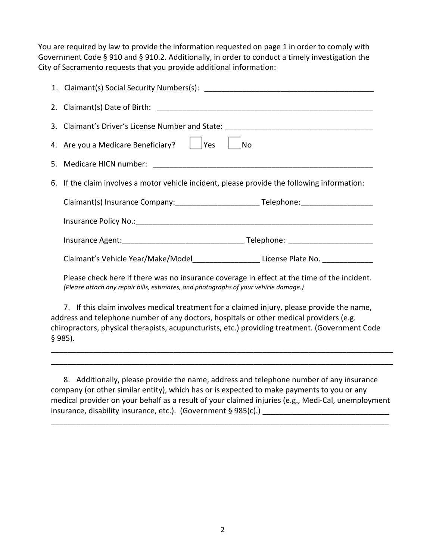You are required by law to provide the information requested on page 1 in order to comply with Government Code § 910 and § 910.2. Additionally, in order to conduct a timely investigation the City of Sacramento requests that you provide additional information:

| 3. Claimant's Driver's License Number and State: _______________________________                                                                                                    |  |  |  |
|-------------------------------------------------------------------------------------------------------------------------------------------------------------------------------------|--|--|--|
| 4. Are you a Medicare Beneficiary?       Yes<br><b>INo</b>                                                                                                                          |  |  |  |
|                                                                                                                                                                                     |  |  |  |
| 6. If the claim involves a motor vehicle incident, please provide the following information:                                                                                        |  |  |  |
|                                                                                                                                                                                     |  |  |  |
|                                                                                                                                                                                     |  |  |  |
|                                                                                                                                                                                     |  |  |  |
| Claimant's Vehicle Year/Make/Model_____________________License Plate No. _____________                                                                                              |  |  |  |
| Please check here if there was no insurance coverage in effect at the time of the incident.<br>(Please attach any repair bills, estimates, and photographs of your vehicle damage.) |  |  |  |
|                                                                                                                                                                                     |  |  |  |

7. If this claim involves medical treatment for a claimed injury, please provide the name, address and telephone number of any doctors, hospitals or other medical providers (e.g. chiropractors, physical therapists, acupuncturists, etc.) providing treatment. (Government Code § 985).

8. Additionally, please provide the name, address and telephone number of any insurance company (or other similar entity), which has or is expected to make payments to you or any medical provider on your behalf as a result of your claimed injuries (e.g., Medi-Cal, unemployment insurance, disability insurance, etc.). (Government § 985(c).) \_\_\_\_\_\_\_\_\_\_\_\_\_\_\_\_\_

\_\_\_\_\_\_\_\_\_\_\_\_\_\_\_\_\_\_\_\_\_\_\_\_\_\_\_\_\_\_\_\_\_\_\_\_\_\_\_\_\_\_\_\_\_\_\_\_\_\_\_\_\_\_\_\_\_\_\_\_\_\_\_\_\_\_\_\_\_\_\_\_\_\_\_\_\_\_\_\_

\_\_\_\_\_\_\_\_\_\_\_\_\_\_\_\_\_\_\_\_\_\_\_\_\_\_\_\_\_\_\_\_\_\_\_\_\_\_\_\_\_\_\_\_\_\_\_\_\_\_\_\_\_\_\_\_\_\_\_\_\_\_\_\_\_\_\_\_\_\_\_\_\_\_\_\_\_\_\_\_\_ \_\_\_\_\_\_\_\_\_\_\_\_\_\_\_\_\_\_\_\_\_\_\_\_\_\_\_\_\_\_\_\_\_\_\_\_\_\_\_\_\_\_\_\_\_\_\_\_\_\_\_\_\_\_\_\_\_\_\_\_\_\_\_\_\_\_\_\_\_\_\_\_\_\_\_\_\_\_\_\_\_